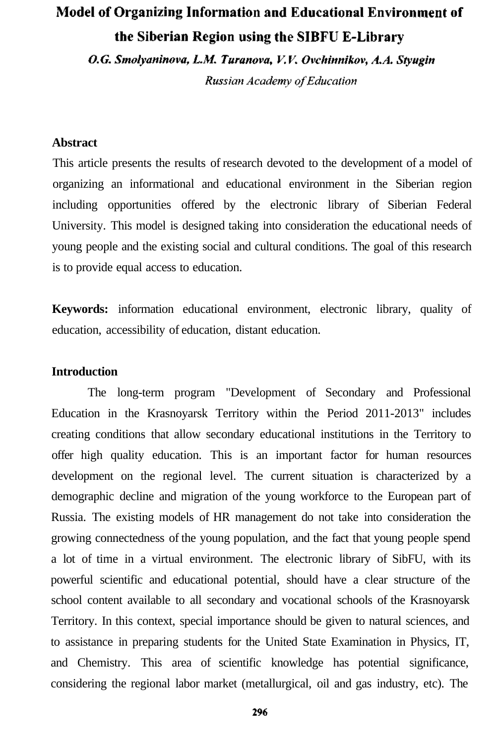## Model of Organizing Information and Educational Environment of the Siberian Region using the SIBFU E-Library

O.G. Smolyaninova, L.M. Turanova, V.V. Ovchinnikov, A.A. Styugin

**Russian Academy of Education** 

## **Abstract**

This article presents the results of research devoted to the development of a model of organizing an informational and educational environment in the Siberian region including opportunities offered by the electronic library of Siberian Federal University. This model is designed taking into consideration the educational needs of young people and the existing social and cultural conditions. The goal of this research is to provide equal access to education.

**Keywords:** information educational environment, electronic library, quality of education, accessibility of education, distant education.

## **Introduction**

The long-term program "Development of Secondary and Professional Education in the Krasnoyarsk Territory within the Period 2011-2013" includes creating conditions that allow secondary educational institutions in the Territory to offer high quality education. This is an important factor for human resources development on the regional level. The current situation is characterized by a demographic decline and migration of the young workforce to the European part of Russia. The existing models of HR management do not take into consideration the growing connectedness of the young population, and the fact that young people spend a lot of time in a virtual environment. The electronic library of SibFU, with its powerful scientific and educational potential, should have a clear structure of the school content available to all secondary and vocational schools of the Krasnoyarsk Territory. In this context, special importance should be given to natural sciences, and to assistance in preparing students for the United State Examination in Physics, IT, and Chemistry. This area of scientific knowledge has potential significance, considering the regional labor market (metallurgical, oil and gas industry, etc). The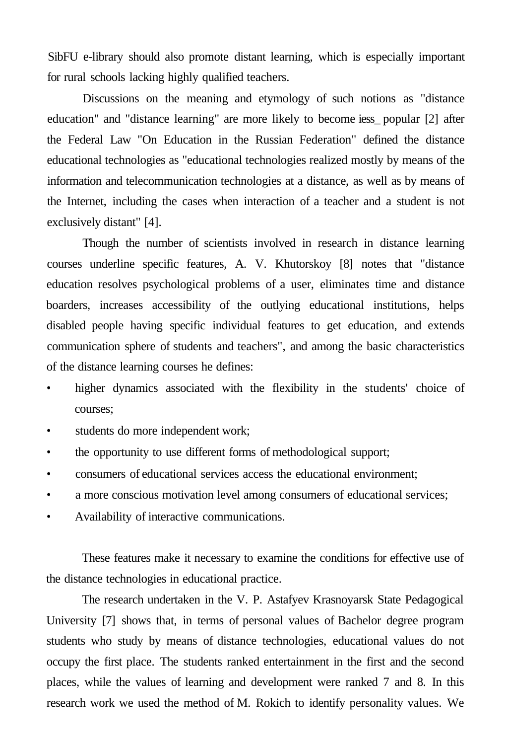SibFU e-library should also promote distant learning, which is especially important for rural schools lacking highly qualified teachers.

Discussions on the meaning and etymology of such notions as "distance education" and "distance learning" are more likely to become iess\_ popular [2] after the Federal Law "On Education in the Russian Federation" defined the distance educational technologies as "educational technologies realized mostly by means of the information and telecommunication technologies at a distance, as well as by means of the Internet, including the cases when interaction of a teacher and a student is not exclusively distant" [4].

Though the number of scientists involved in research in distance learning courses underline specific features, A. V. Khutorskoy [8] notes that "distance education resolves psychological problems of a user, eliminates time and distance boarders, increases accessibility of the outlying educational institutions, helps disabled people having specific individual features to get education, and extends communication sphere of students and teachers", and among the basic characteristics of the distance learning courses he defines:

- higher dynamics associated with the flexibility in the students' choice of courses;
- students do more independent work;
- the opportunity to use different forms of methodological support;
- consumers of educational services access the educational environment;
- a more conscious motivation level among consumers of educational services;
- Availability of interactive communications.

These features make it necessary to examine the conditions for effective use of the distance technologies in educational practice.

The research undertaken in the V. P. Astafyev Krasnoyarsk State Pedagogical University [7] shows that, in terms of personal values of Bachelor degree program students who study by means of distance technologies, educational values do not occupy the first place. The students ranked entertainment in the first and the second places, while the values of learning and development were ranked 7 and 8. In this research work we used the method of M. Rokich to identify personality values. We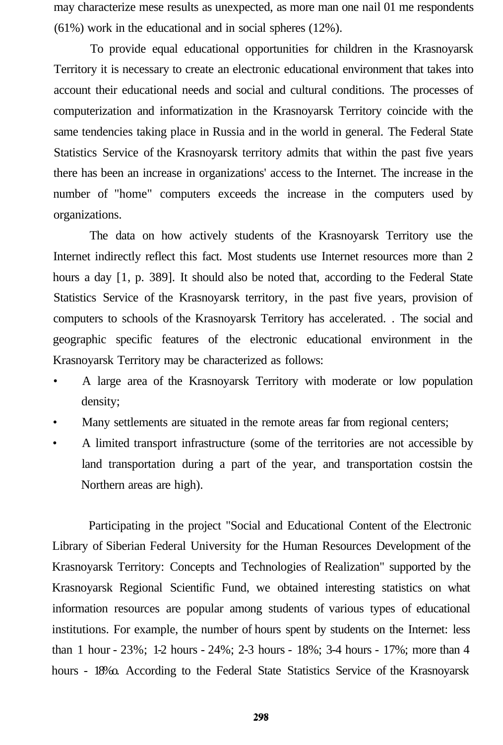may characterize mese results as unexpected, as more man one nail 01 me respondents (61%) work in the educational and in social spheres (12%).

To provide equal educational opportunities for children in the Krasnoyarsk Territory it is necessary to create an electronic educational environment that takes into account their educational needs and social and cultural conditions. The processes of computerization and informatization in the Krasnoyarsk Territory coincide with the same tendencies taking place in Russia and in the world in general. The Federal State Statistics Service of the Krasnoyarsk territory admits that within the past five years there has been an increase in organizations' access to the Internet. The increase in the number of "home" computers exceeds the increase in the computers used by organizations.

The data on how actively students of the Krasnoyarsk Territory use the Internet indirectly reflect this fact. Most students use Internet resources more than 2 hours a day [1, p. 389]. It should also be noted that, according to the Federal State Statistics Service of the Krasnoyarsk territory, in the past five years, provision of computers to schools of the Krasnoyarsk Territory has accelerated. . The social and geographic specific features of the electronic educational environment in the Krasnoyarsk Territory may be characterized as follows:

- A large area of the Krasnoyarsk Territory with moderate or low population density;
- Many settlements are situated in the remote areas far from regional centers;
- A limited transport infrastructure (some of the territories are not accessible by land transportation during a part of the year, and transportation costsin the Northern areas are high).

Participating in the project "Social and Educational Content of the Electronic Library of Siberian Federal University for the Human Resources Development of the Krasnoyarsk Territory: Concepts and Technologies of Realization" supported by the Krasnoyarsk Regional Scientific Fund, we obtained interesting statistics on what information resources are popular among students of various types of educational institutions. For example, the number of hours spent by students on the Internet: less than 1 hour - 23%; 1-2 hours - 24%; 2-3 hours - 18%; 3-4 hours - 17%; more than 4 hours - 18%o. According to the Federal State Statistics Service of the Krasnoyarsk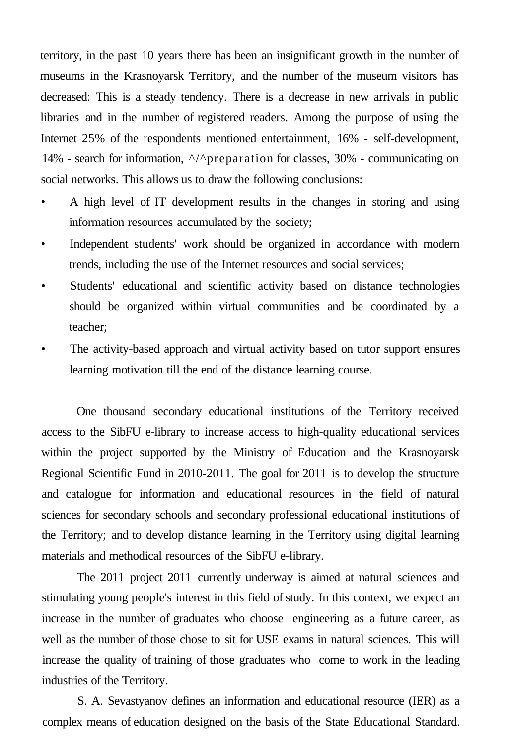territory, in the past 10 years there has been an insignificant growth in the number of museums in the Krasnoyarsk Territory, and the number of the museum visitors has decreased: This is a steady tendency. There is a decrease in new arrivals in public libraries and in the number of registered readers. Among the purpose of using the Internet 25% of the respondents mentioned entertainment, 16% - self-development, 14% - search for information,  $\frac{\wedge}{\text{preparation}}$  for classes, 30% - communicating on social networks. This allows us to draw the following conclusions:

- A high level of IT development results in the changes in storing and using information resources accumulated by the society;
- Independent students' work should be organized in accordance with modern trends, including the use of the Internet resources and social services;
- Students' educational and scientific activity based on distance technologies should be organized within virtual communities and be coordinated by a teacher;
- The activity-based approach and virtual activity based on tutor support ensures learning motivation till the end of the distance learning course.

One thousand secondary educational institutions of the Territory received access to the SibFU e-library to increase access to high-quality educational services within the project supported by the Ministry of Education and the Krasnoyarsk Regional Scientific Fund in 2010-2011. The goal for 2011 is to develop the structure and catalogue for information and educational resources in the field of natural sciences for secondary schools and secondary professional educational institutions of the Territory; and to develop distance learning in the Territory using digital learning materials and methodical resources of the SibFU e-library.

The 2011 project 2011 currently underway is aimed at natural sciences and stimulating young people's interest in this field of study. In this context, we expect an increase in the number of graduates who choose engineering as a future career, as well as the number of those chose to sit for USE exams in natural sciences. This will increase the quality of training of those graduates who come to work in the leading industries of the Territory.

S. A. Sevastyanov defines an information and educational resource (IER) as a complex means of education designed on the basis of the State Educational Standard.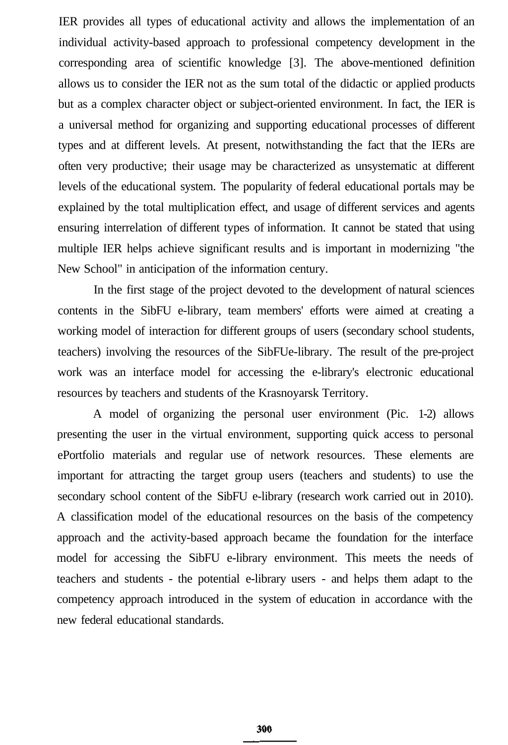IER provides all types of educational activity and allows the implementation of an individual activity-based approach to professional competency development in the corresponding area of scientific knowledge [3]. The above-mentioned definition allows us to consider the IER not as the sum total of the didactic or applied products but as a complex character object or subject-oriented environment. In fact, the IER is a universal method for organizing and supporting educational processes of different types and at different levels. At present, notwithstanding the fact that the IERs are often very productive; their usage may be characterized as unsystematic at different levels of the educational system. The popularity of federal educational portals may be explained by the total multiplication effect, and usage of different services and agents ensuring interrelation of different types of information. It cannot be stated that using multiple IER helps achieve significant results and is important in modernizing "the New School" in anticipation of the information century.

In the first stage of the project devoted to the development of natural sciences contents in the SibFU e-library, team members' efforts were aimed at creating a working model of interaction for different groups of users (secondary school students, teachers) involving the resources of the SibFUe-library. The result of the pre-project work was an interface model for accessing the e-library's electronic educational resources by teachers and students of the Krasnoyarsk Territory.

A model of organizing the personal user environment (Pic. 1-2) allows presenting the user in the virtual environment, supporting quick access to personal ePortfolio materials and regular use of network resources. These elements are important for attracting the target group users (teachers and students) to use the secondary school content of the SibFU e-library (research work carried out in 2010). A classification model of the educational resources on the basis of the competency approach and the activity-based approach became the foundation for the interface model for accessing the SibFU e-library environment. This meets the needs of teachers and students - the potential e-library users - and helps them adapt to the competency approach introduced in the system of education in accordance with the new federal educational standards.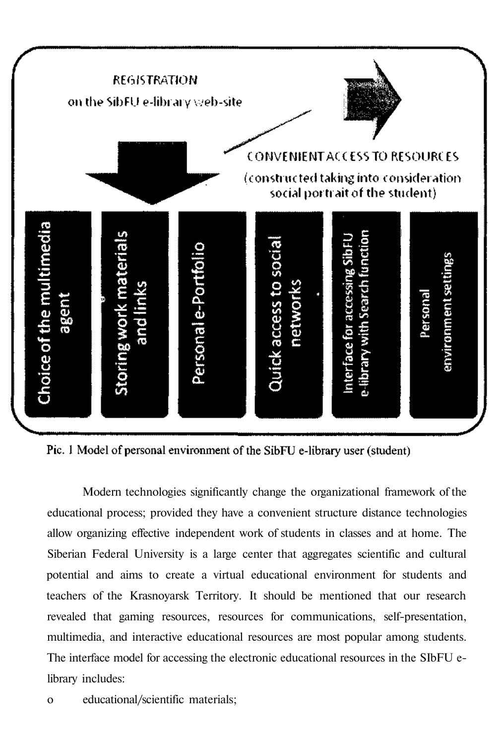

Pic. 1 Model of personal environment of the SibFU e-library user (student)

Modern technologies significantly change the organizational framework of the educational process; provided they have a convenient structure distance technologies allow organizing effective independent work of students in classes and at home. The Siberian Federal University is a large center that aggregates scientific and cultural potential and aims to create a virtual educational environment for students and teachers of the Krasnoyarsk Territory. It should be mentioned that our research revealed that gaming resources, resources for communications, self-presentation, multimedia, and interactive educational resources are most popular among students. The interface model for accessing the electronic educational resources in the SIbFU elibrary includes:

о educational/scientific materials;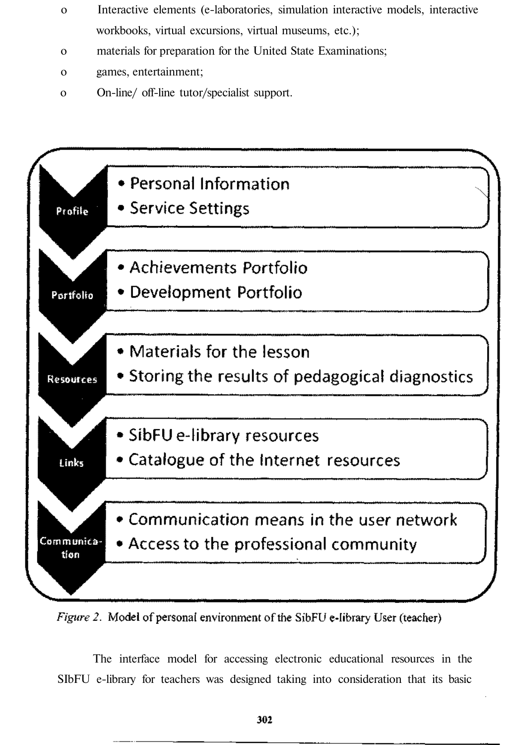- о Interactive elements (e-laboratories, simulation interactive models, interactive workbooks, virtual excursions, virtual museums, etc.);
- о materials for preparation for the United State Examinations;
- о games, entertainment;
- о On-line/ off-line tutor/specialist support.





The interface model for accessing electronic educational resources in the SIbFU e-library for teachers was designed taking into consideration that its basic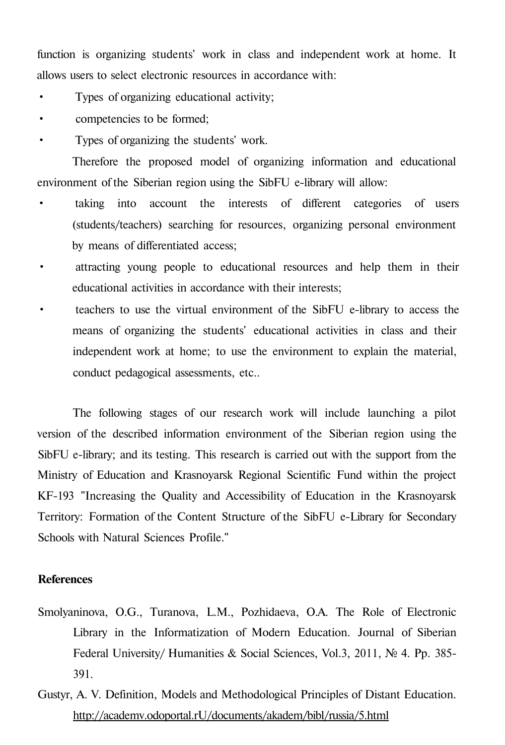function is organizing students' work in class and independent work at home. It allows users to select electronic resources in accordance with:

- Types of organizing educational activity;
- competencies to be formed;
- Types of organizing the students' work.

Therefore the proposed model of organizing information and educational environment of the Siberian region using the SibFU e-library will allow:

- taking into account the interests of different categories of users (students/teachers) searching for resources, organizing personal environment by means of differentiated access;
- attracting young people to educational resources and help them in their educational activities in accordance with their interests;
- teachers to use the virtual environment of the SibFU e-library to access the means of organizing the students' educational activities in class and their independent work at home; to use the environment to explain the material, conduct pedagogical assessments, etc..

The following stages of our research work will include launching a pilot version of the described information environment of the Siberian region using the SibFU e-library; and its testing. This research is carried out with the support from the Ministry of Education and Krasnoyarsk Regional Scientific Fund within the project KF-193 "Increasing the Quality and Accessibility of Education in the Krasnoyarsk Territory: Formation of the Content Structure of the SibFU e-Library for Secondary Schools with Natural Sciences Profile."

## **References**

- Smolyaninova, O.G., Turanova, L.M., Pozhidaeva, O.A. The Role of Electronic Library in the Informatization of Modern Education. Journal of Siberian Federal University/ Humanities & Social Sciences, Vol.3, 2011, № 4. Pp. 385- 391.
- Gustyr, A. V. Definition, Models and Methodological Principles of Distant Education. <http://academv.odoportal.rU/documents/akadem/bibl/russia/5.html>